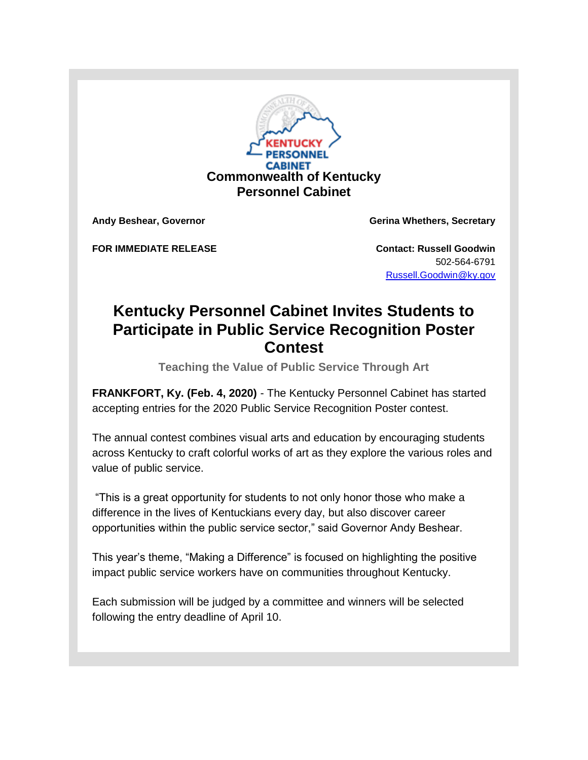

**Andy Beshear, Governor Gerina Whethers, Secretary**

**FOR IMMEDIATE RELEASE CONTACT: RUSSELL GOOD CONTACT: RUSSELL GOOD CONTACT: RUSSELL GOOD CONTACT: RUSSELL GOOD CONTACT: RUSSELL GOOD CONTACT: RUSSELL GOOD CONTACT: RUSSELL GOOD CONTACT: RUSSELL GOOD CONTACT: RUSSELL GOOD** 

502-564-6791 [Russell.Goodwin@ky.gov](mailto:LaDonna.Koebel@ky.gov)

## **Kentucky Personnel Cabinet Invites Students to Participate in Public Service Recognition Poster Contest**

**Teaching the Value of Public Service Through Art**

**FRANKFORT, Ky. (Feb. 4, 2020)** - The Kentucky Personnel Cabinet has started accepting entries for the 2020 Public Service Recognition Poster contest.

The annual contest combines visual arts and education by encouraging students across Kentucky to craft colorful works of art as they explore the various roles and value of public service.

"This is a great opportunity for students to not only honor those who make a difference in the lives of Kentuckians every day, but also discover career opportunities within the public service sector," said Governor Andy Beshear.

This year's theme, "Making a Difference" is focused on highlighting the positive impact public service workers have on communities throughout Kentucky.

Each submission will be judged by a committee and winners will be selected following the entry deadline of April 10.